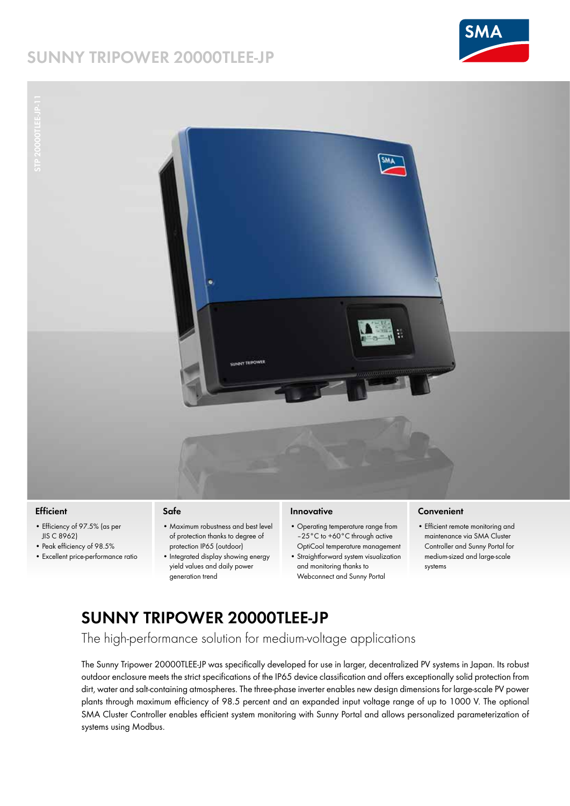# **SUNNY TRIPOWER 20000TLEE-JP**



**DOCUMENT NO. STP 20000TLEE-JP-11**



#### **Efficient**

- Efficiency of 97.5% (as per JIS C 8962)
- Peak efficiency of 98.5%
- Excellent price-performance ratio

#### **Safe**

- Maximum robustness and best level of protection thanks to degree of protection IP65 (outdoor)
- Integrated display showing energy yield values and daily power generation trend

#### **Innovative**

- Operating temperature range from –25°C to +60°C through active OptiCool temperature management
- Straightforward system visualization and monitoring thanks to Webconnect and Sunny Portal

#### **Convenient**

• Efficient remote monitoring and maintenance via SMA Cluster Controller and Sunny Portal for medium-sized and large-scale systems

## **SUNNY TRIPOWER 20000TLEE-JP**

The high-performance solution for medium-voltage applications

The Sunny Tripower 20000TLEE-JP was specifically developed for use in larger, decentralized PV systems in Japan. Its robust outdoor enclosure meets the strict specifications of the IP65 device classification and offers exceptionally solid protection from dirt, water and salt-containing atmospheres. The three-phase inverter enables new design dimensions for large-scale PV power plants through maximum efficiency of 98.5 percent and an expanded input voltage range of up to 1000 V. The optional SMA Cluster Controller enables efficient system monitoring with Sunny Portal and allows personalized parameterization of systems using Modbus.